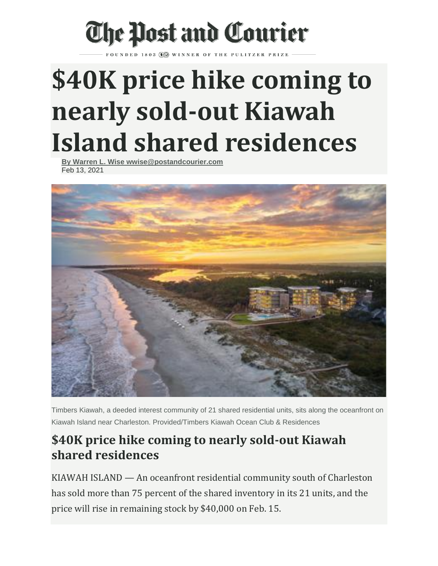## The Post and Courier

## **\$40K price hike coming to nearly sold-out Kiawah Island shared residences**

**[By Warren L. Wise wwise@postandcourier.com](https://www.postandcourier.com/users/profile/Warren%20Wise)** Feb 13, 2021



Timbers Kiawah, a deeded interest community of 21 shared residential units, sits along the oceanfront on Kiawah Island near Charleston. Provided/Timbers Kiawah Ocean Club & Residences

## **\$40K price hike coming to nearly sold-out Kiawah shared residences**

KIAWAH ISLAND — An oceanfront residential community south of Charleston has sold more than 75 percent of the shared inventory in its 21 units, and the price will rise in remaining stock by \$40,000 on Feb. 15.